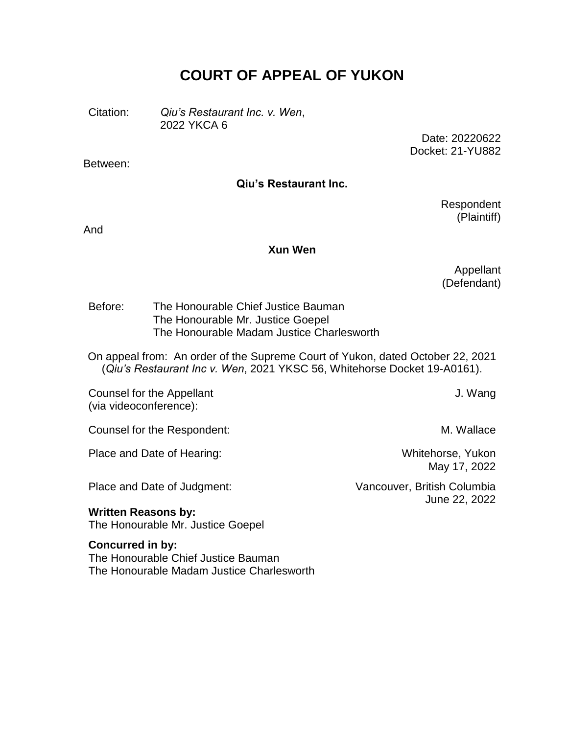# **COURT OF APPEAL OF YUKON**

Citation: *Qiu's Restaurant Inc. v. Wen*, 2022 YKCA 6

> Date: 20220622 Docket: 21-YU882

Between:

#### **Qiu's Restaurant Inc.**

Respondent (Plaintiff)

And

#### **Xun Wen**

Appellant (Defendant)

Before: The Honourable Chief Justice Bauman The Honourable Mr. Justice Goepel The Honourable Madam Justice Charlesworth

On appeal from: An order of the Supreme Court of Yukon, dated October 22, 2021 (*Qiu's Restaurant Inc v. Wen*, 2021 YKSC 56, Whitehorse Docket 19-A0161).

Counsel for the Appellant (via videoconference):

Counsel for the Respondent: M. Wallace

Place and Date of Hearing: Whitehorse, Yukon

Place and Date of Judgment: Vancouver, British Columbia

J. Wang

May 17, 2022

June 22, 2022

**Written Reasons by:** The Honourable Mr. Justice Goepel

**Concurred in by:** The Honourable Chief Justice Bauman The Honourable Madam Justice Charlesworth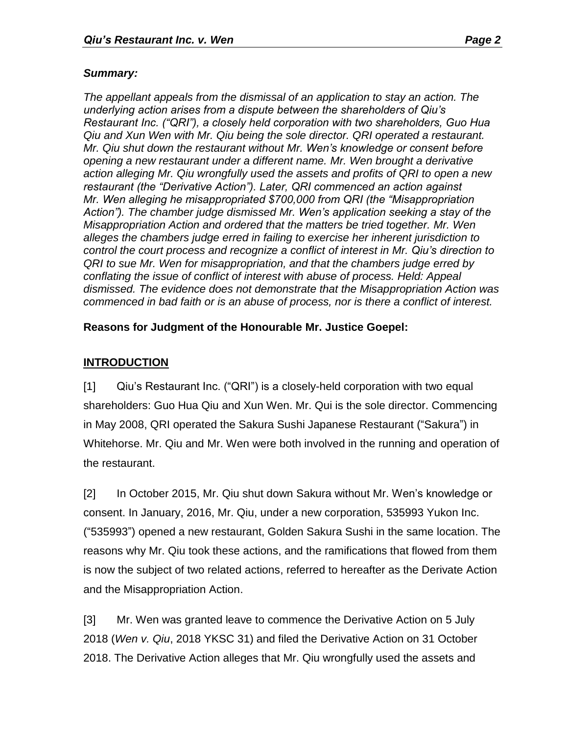#### *Summary:*

*The appellant appeals from the dismissal of an application to stay an action. The underlying action arises from a dispute between the shareholders of Qiu's Restaurant Inc. ("QRI"), a closely held corporation with two shareholders, Guo Hua Qiu and Xun Wen with Mr. Qiu being the sole director. QRI operated a restaurant. Mr. Qiu shut down the restaurant without Mr. Wen's knowledge or consent before opening a new restaurant under a different name. Mr. Wen brought a derivative action alleging Mr. Qiu wrongfully used the assets and profits of QRI to open a new restaurant (the "Derivative Action"). Later, QRI commenced an action against Mr. Wen alleging he misappropriated \$700,000 from QRI (the "Misappropriation Action"). The chamber judge dismissed Mr. Wen's application seeking a stay of the Misappropriation Action and ordered that the matters be tried together. Mr. Wen alleges the chambers judge erred in failing to exercise her inherent jurisdiction to control the court process and recognize a conflict of interest in Mr. Qiu's direction to QRI to sue Mr. Wen for misappropriation, and that the chambers judge erred by conflating the issue of conflict of interest with abuse of process. Held: Appeal dismissed. The evidence does not demonstrate that the Misappropriation Action was commenced in bad faith or is an abuse of process, nor is there a conflict of interest.* 

## **Reasons for Judgment of the Honourable Mr. Justice Goepel:**

## **INTRODUCTION**

[1] Qiu's Restaurant Inc. ("QRI") is a closely-held corporation with two equal shareholders: Guo Hua Qiu and Xun Wen. Mr. Qui is the sole director. Commencing in May 2008, QRI operated the Sakura Sushi Japanese Restaurant ("Sakura") in Whitehorse. Mr. Qiu and Mr. Wen were both involved in the running and operation of the restaurant.

[2] In October 2015, Mr. Qiu shut down Sakura without Mr. Wen's knowledge or consent. In January, 2016, Mr. Qiu, under a new corporation, 535993 Yukon Inc. ("535993") opened a new restaurant, Golden Sakura Sushi in the same location. The reasons why Mr. Qiu took these actions, and the ramifications that flowed from them is now the subject of two related actions, referred to hereafter as the Derivate Action and the Misappropriation Action.

[3] Mr. Wen was granted leave to commence the Derivative Action on 5 July 2018 (*Wen v. Qiu*, 2018 YKSC 31) and filed the Derivative Action on 31 October 2018. The Derivative Action alleges that Mr. Qiu wrongfully used the assets and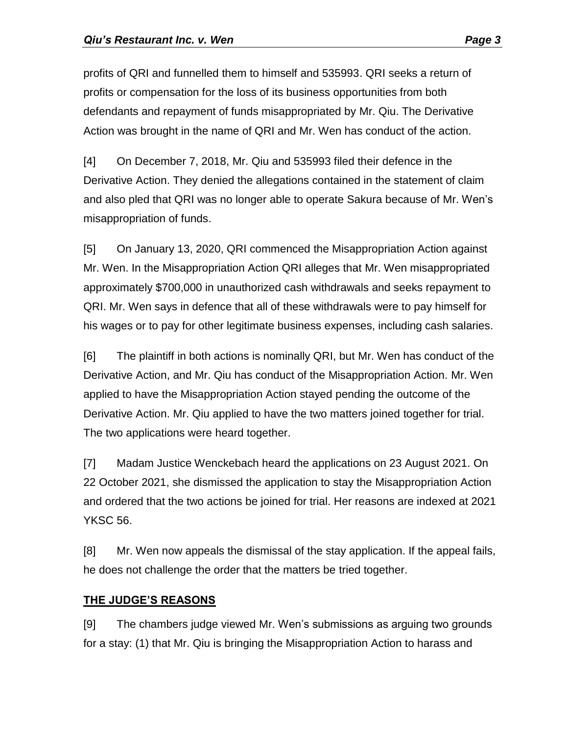profits of QRI and funnelled them to himself and 535993. QRI seeks a return of profits or compensation for the loss of its business opportunities from both defendants and repayment of funds misappropriated by Mr. Qiu. The Derivative Action was brought in the name of QRI and Mr. Wen has conduct of the action.

[4] On December 7, 2018, Mr. Qiu and 535993 filed their defence in the Derivative Action. They denied the allegations contained in the statement of claim and also pled that QRI was no longer able to operate Sakura because of Mr. Wen's misappropriation of funds.

[5] On January 13, 2020, QRI commenced the Misappropriation Action against Mr. Wen. In the Misappropriation Action QRI alleges that Mr. Wen misappropriated approximately \$700,000 in unauthorized cash withdrawals and seeks repayment to QRI. Mr. Wen says in defence that all of these withdrawals were to pay himself for his wages or to pay for other legitimate business expenses, including cash salaries.

[6] The plaintiff in both actions is nominally QRI, but Mr. Wen has conduct of the Derivative Action, and Mr. Qiu has conduct of the Misappropriation Action. Mr. Wen applied to have the Misappropriation Action stayed pending the outcome of the Derivative Action. Mr. Qiu applied to have the two matters joined together for trial. The two applications were heard together.

[7] Madam Justice Wenckebach heard the applications on 23 August 2021. On 22 October 2021, she dismissed the application to stay the Misappropriation Action and ordered that the two actions be joined for trial. Her reasons are indexed at 2021 YKSC 56.

[8] Mr. Wen now appeals the dismissal of the stay application. If the appeal fails, he does not challenge the order that the matters be tried together.

# **THE JUDGE'S REASONS**

[9] The chambers judge viewed Mr. Wen's submissions as arguing two grounds for a stay: (1) that Mr. Qiu is bringing the Misappropriation Action to harass and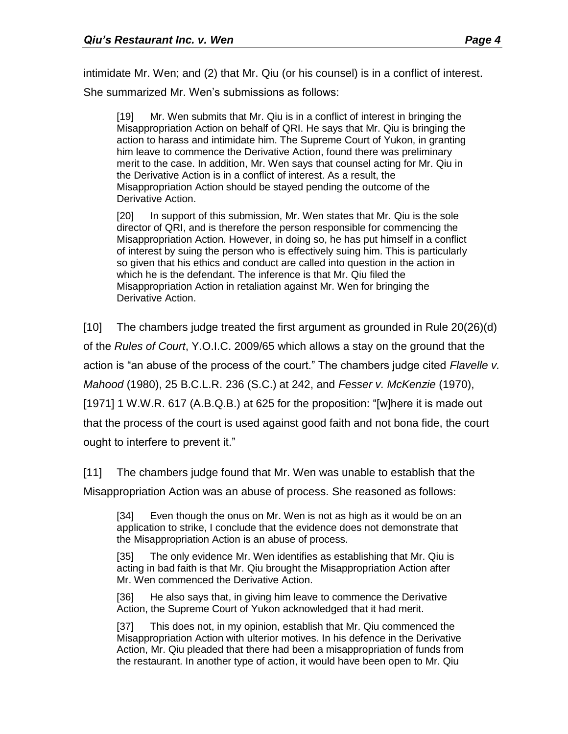intimidate Mr. Wen; and (2) that Mr. Qiu (or his counsel) is in a conflict of interest. She summarized Mr. Wen's submissions as follows:

[19] Mr. Wen submits that Mr. Qiu is in a conflict of interest in bringing the Misappropriation Action on behalf of QRI. He says that Mr. Qiu is bringing the action to harass and intimidate him. The Supreme Court of Yukon, in granting him leave to commence the Derivative Action, found there was preliminary merit to the case. In addition, Mr. Wen says that counsel acting for Mr. Qiu in the Derivative Action is in a conflict of interest. As a result, the Misappropriation Action should be stayed pending the outcome of the Derivative Action.

[20] In support of this submission, Mr. Wen states that Mr. Qiu is the sole director of QRI, and is therefore the person responsible for commencing the Misappropriation Action. However, in doing so, he has put himself in a conflict of interest by suing the person who is effectively suing him. This is particularly so given that his ethics and conduct are called into question in the action in which he is the defendant. The inference is that Mr. Qiu filed the Misappropriation Action in retaliation against Mr. Wen for bringing the Derivative Action.

[10] The chambers judge treated the first argument as grounded in Rule 20(26)(d) of the *Rules of Court*, Y.O.I.C. 2009/65 which allows a stay on the ground that the action is "an abuse of the process of the court." The chambers judge cited *Flavelle v. Mahood* (1980), 25 B.C.L.R. 236 (S.C.) at 242, and *Fesser v. McKenzie* (1970), [1971] 1 W.W.R. 617 (A.B.Q.B.) at 625 for the proposition: "[w]here it is made out that the process of the court is used against good faith and not bona fide, the court ought to interfere to prevent it."

[11] The chambers judge found that Mr. Wen was unable to establish that the Misappropriation Action was an abuse of process. She reasoned as follows:

[34] Even though the onus on Mr. Wen is not as high as it would be on an application to strike, I conclude that the evidence does not demonstrate that the Misappropriation Action is an abuse of process.

[35] The only evidence Mr. Wen identifies as establishing that Mr. Qiu is acting in bad faith is that Mr. Qiu brought the Misappropriation Action after Mr. Wen commenced the Derivative Action.

[36] He also says that, in giving him leave to commence the Derivative Action, the Supreme Court of Yukon acknowledged that it had merit.

[37] This does not, in my opinion, establish that Mr. Qiu commenced the Misappropriation Action with ulterior motives. In his defence in the Derivative Action, Mr. Qiu pleaded that there had been a misappropriation of funds from the restaurant. In another type of action, it would have been open to Mr. Qiu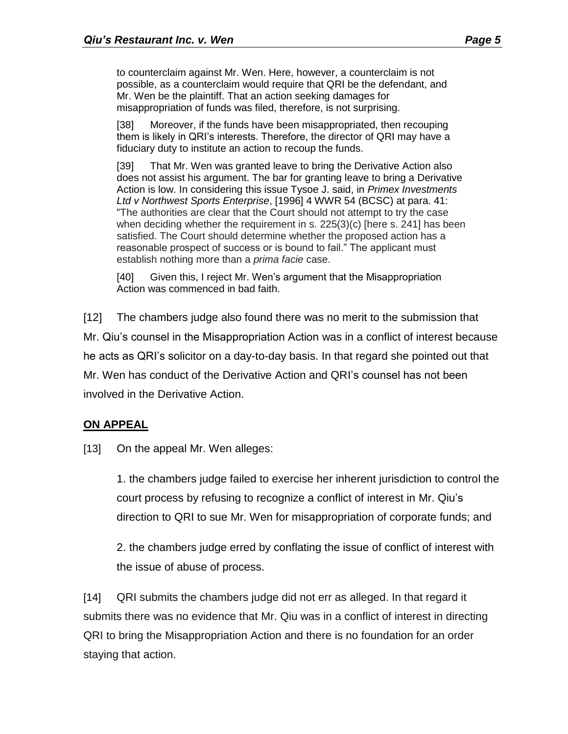to counterclaim against Mr. Wen. Here, however, a counterclaim is not possible, as a counterclaim would require that QRI be the defendant, and Mr. Wen be the plaintiff. That an action seeking damages for misappropriation of funds was filed, therefore, is not surprising.

[38] Moreover, if the funds have been misappropriated, then recouping them is likely in QRI's interests. Therefore, the director of QRI may have a fiduciary duty to institute an action to recoup the funds.

[39] That Mr. Wen was granted leave to bring the Derivative Action also does not assist his argument. The bar for granting leave to bring a Derivative Action is low. In considering this issue Tysoe J. said, in *Primex Investments Ltd v Northwest Sports Enterprise*, [1996] 4 WWR 54 (BCSC) at para. 41: "The authorities are clear that the Court should not attempt to try the case when deciding whether the requirement in s. 225(3)(c) [here s. 241] has been satisfied. The Court should determine whether the proposed action has a reasonable prospect of success or is bound to fail." The applicant must establish nothing more than a *prima facie* case.

[40] Given this, I reject Mr. Wen's argument that the Misappropriation Action was commenced in bad faith.

[12] The chambers judge also found there was no merit to the submission that Mr. Qiu's counsel in the Misappropriation Action was in a conflict of interest because he acts as QRI's solicitor on a day-to-day basis. In that regard she pointed out that Mr. Wen has conduct of the Derivative Action and QRI's counsel has not been involved in the Derivative Action.

## **ON APPEAL**

[13] On the appeal Mr. Wen alleges:

1. the chambers judge failed to exercise her inherent jurisdiction to control the court process by refusing to recognize a conflict of interest in Mr. Qiu's direction to QRI to sue Mr. Wen for misappropriation of corporate funds; and

2. the chambers judge erred by conflating the issue of conflict of interest with the issue of abuse of process.

[14] QRI submits the chambers judge did not err as alleged. In that regard it submits there was no evidence that Mr. Qiu was in a conflict of interest in directing QRI to bring the Misappropriation Action and there is no foundation for an order staying that action.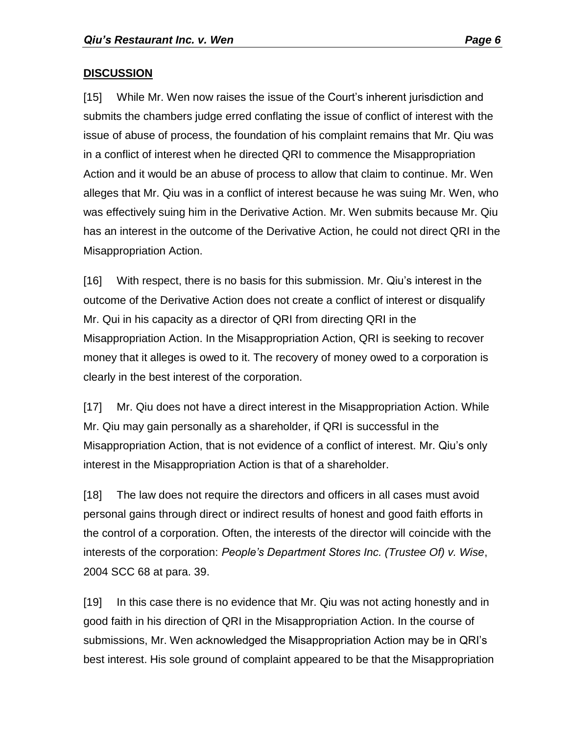#### **DISCUSSION**

[15] While Mr. Wen now raises the issue of the Court's inherent jurisdiction and submits the chambers judge erred conflating the issue of conflict of interest with the issue of abuse of process, the foundation of his complaint remains that Mr. Qiu was in a conflict of interest when he directed QRI to commence the Misappropriation Action and it would be an abuse of process to allow that claim to continue. Mr. Wen alleges that Mr. Qiu was in a conflict of interest because he was suing Mr. Wen, who was effectively suing him in the Derivative Action. Mr. Wen submits because Mr. Qiu has an interest in the outcome of the Derivative Action, he could not direct QRI in the Misappropriation Action.

[16] With respect, there is no basis for this submission. Mr. Qiu's interest in the outcome of the Derivative Action does not create a conflict of interest or disqualify Mr. Qui in his capacity as a director of QRI from directing QRI in the Misappropriation Action. In the Misappropriation Action, QRI is seeking to recover money that it alleges is owed to it. The recovery of money owed to a corporation is clearly in the best interest of the corporation.

[17] Mr. Qiu does not have a direct interest in the Misappropriation Action. While Mr. Qiu may gain personally as a shareholder, if QRI is successful in the Misappropriation Action, that is not evidence of a conflict of interest. Mr. Qiu's only interest in the Misappropriation Action is that of a shareholder.

[18] The law does not require the directors and officers in all cases must avoid personal gains through direct or indirect results of honest and good faith efforts in the control of a corporation. Often, the interests of the director will coincide with the interests of the corporation: *People's Department Stores Inc. (Trustee Of) v. Wise*, 2004 SCC 68 at para. 39.

[19] In this case there is no evidence that Mr. Qiu was not acting honestly and in good faith in his direction of QRI in the Misappropriation Action. In the course of submissions, Mr. Wen acknowledged the Misappropriation Action may be in QRI's best interest. His sole ground of complaint appeared to be that the Misappropriation